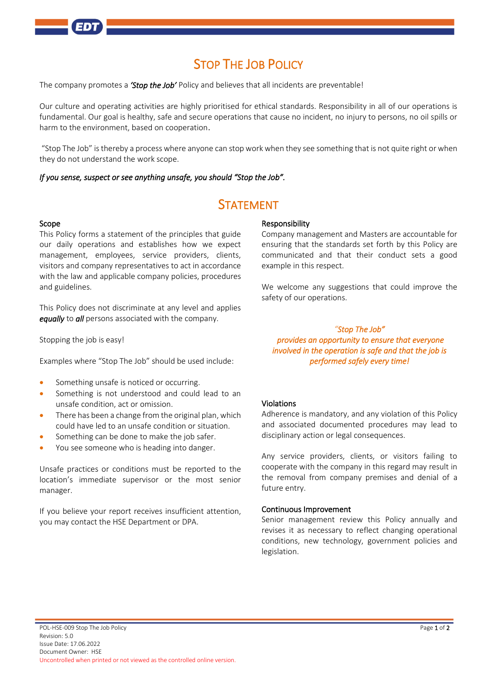

# STOP THE JOB POLICY

The company promotes a *'Stop the Job'* Policy and believes that all incidents are preventable!

Our culture and operating activities are highly prioritised for ethical standards. Responsibility in all of our operations is fundamental. Our goal is healthy, safe and secure operations that cause no incident, no injury to persons, no oil spills or harm to the environment, based on cooperation.

"Stop The Job" isthereby a process where anyone can stop work when they see something that is not quite right or when they do not understand the work scope.

#### *If you sense, suspect or see anything unsafe, you should "Stop the Job".*

## STATEMENT

#### Scope

This Policy forms a statement of the principles that guide our daily operations and establishes how we expect management, employees, service providers, clients, visitors and company representatives to act in accordance with the law and applicable company policies, procedures and guidelines.

This Policy does not discriminate at any level and applies *equally* to *all* persons associated with the company.

Stopping the job is easy!

Examples where "Stop The Job" should be used include:

- Something unsafe is noticed or occurring.
- Something is not understood and could lead to an unsafe condition, act or omission.
- There has been a change from the original plan, which could have led to an unsafe condition or situation.
- Something can be done to make the job safer.
- You see someone who is heading into danger.

Unsafe practices or conditions must be reported to the location's immediate supervisor or the most senior manager.

If you believe your report receives insufficient attention, you may contact the HSE Department or DPA.

### Responsibility

Company management and Masters are accountable for ensuring that the standards set forth by this Policy are communicated and that their conduct sets a good example in this respect.

We welcome any suggestions that could improve the safety of our operations.

## *"Stop The Job" provides an opportunity to ensure that everyone involved in the operation is safe and that the job is performed safely every time!*

### Violations

Adherence is mandatory, and any violation of this Policy and associated documented procedures may lead to disciplinary action or legal consequences.

Any service providers, clients, or visitors failing to cooperate with the company in this regard may result in the removal from company premises and denial of a future entry.

#### Continuous Improvement

Senior management review this Policy annually and revises it as necessary to reflect changing operational conditions, new technology, government policies and legislation.